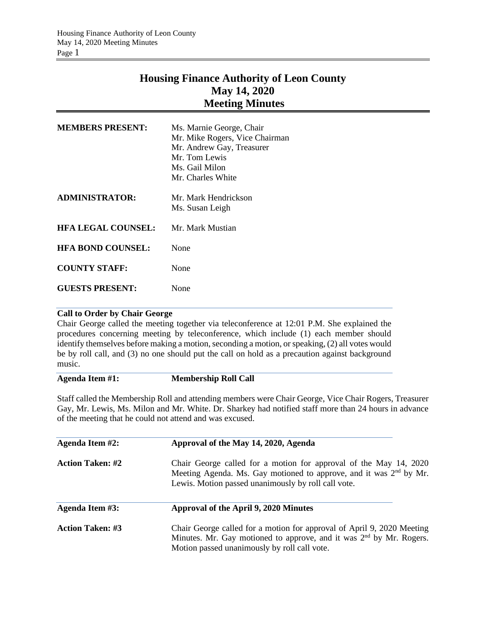## **Housing Finance Authority of Leon County May 14, 2020 Meeting Minutes**

| <b>MEMBERS PRESENT:</b>   | Ms. Marnie George, Chair<br>Mr. Mike Rogers, Vice Chairman<br>Mr. Andrew Gay, Treasurer<br>Mr. Tom Lewis<br>Ms. Gail Milon<br>Mr. Charles White |  |
|---------------------------|-------------------------------------------------------------------------------------------------------------------------------------------------|--|
| <b>ADMINISTRATOR:</b>     | Mr. Mark Hendrickson<br>Ms. Susan Leigh                                                                                                         |  |
| <b>HFA LEGAL COUNSEL:</b> | Mr. Mark Mustian                                                                                                                                |  |
| <b>HFA BOND COUNSEL:</b>  | None                                                                                                                                            |  |
| <b>COUNTY STAFF:</b>      | None                                                                                                                                            |  |
| <b>GUESTS PRESENT:</b>    | None                                                                                                                                            |  |

## **Call to Order by Chair George**

Chair George called the meeting together via teleconference at 12:01 P.M. She explained the procedures concerning meeting by teleconference, which include (1) each member should identify themselves before making a motion, seconding a motion, or speaking, (2) all votes would be by roll call, and (3) no one should put the call on hold as a precaution against background music.

## **Agenda Item #1: Membership Roll Call**

Staff called the Membership Roll and attending members were Chair George, Vice Chair Rogers, Treasurer Gay, Mr. Lewis, Ms. Milon and Mr. White. Dr. Sharkey had notified staff more than 24 hours in advance of the meeting that he could not attend and was excused.

| Agenda Item #2:         | Approval of the May 14, 2020, Agenda                                                                                                                                                                       |  |
|-------------------------|------------------------------------------------------------------------------------------------------------------------------------------------------------------------------------------------------------|--|
| <b>Action Taken: #2</b> | Chair George called for a motion for approval of the May 14, 2020<br>Meeting Agenda. Ms. Gay motioned to approve, and it was 2 <sup>nd</sup> by Mr.<br>Lewis. Motion passed unanimously by roll call vote. |  |
| Agenda Item #3:         | Approval of the April 9, 2020 Minutes                                                                                                                                                                      |  |
| <b>Action Taken: #3</b> | Chair George called for a motion for approval of April 9, 2020 Meeting<br>Minutes. Mr. Gay motioned to approve, and it was 2 <sup>nd</sup> by Mr. Rogers.<br>Motion passed unanimously by roll call vote.  |  |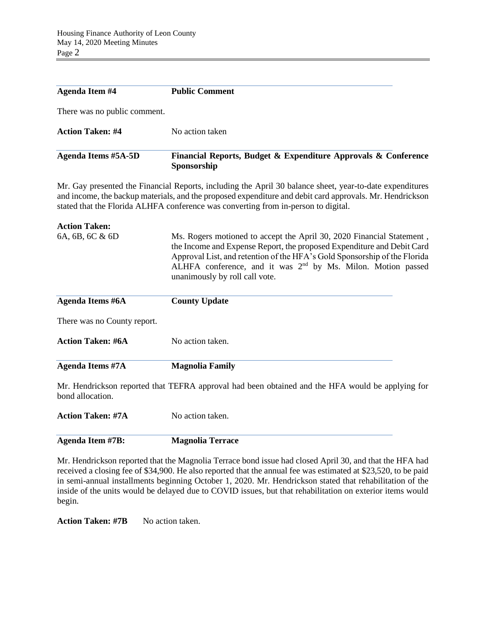| <b>Agenda Item #4</b>        | <b>Public Comment</b>                                                         |
|------------------------------|-------------------------------------------------------------------------------|
| There was no public comment. |                                                                               |
| <b>Action Taken: #4</b>      | No action taken                                                               |
| <b>Agenda Items #5A-5D</b>   | Financial Reports, Budget & Expenditure Approvals & Conference<br>Sponsorship |

Mr. Gay presented the Financial Reports, including the April 30 balance sheet, year-to-date expenditures and income, the backup materials, and the proposed expenditure and debit card approvals. Mr. Hendrickson stated that the Florida ALHFA conference was converting from in-person to digital.

| <b>Action Taken:</b>        |                                                                                                                                                                                                                                                                                                                                  |
|-----------------------------|----------------------------------------------------------------------------------------------------------------------------------------------------------------------------------------------------------------------------------------------------------------------------------------------------------------------------------|
| 6A, 6B, 6C & 6D             | Ms. Rogers motioned to accept the April 30, 2020 Financial Statement,<br>the Income and Expense Report, the proposed Expenditure and Debit Card<br>Approval List, and retention of the HFA's Gold Sponsorship of the Florida<br>ALHFA conference, and it was $2nd$ by Ms. Milon. Motion passed<br>unanimously by roll call vote. |
| Agenda Items #6A            | <b>County Update</b>                                                                                                                                                                                                                                                                                                             |
| There was no County report. |                                                                                                                                                                                                                                                                                                                                  |
| <b>Action Taken: #6A</b>    | No action taken.                                                                                                                                                                                                                                                                                                                 |
| Agenda Items #7A            | <b>Magnolia Family</b>                                                                                                                                                                                                                                                                                                           |
|                             | Mr. Hendrickson reported that TEFRA approval had been obtained and the HFA would be applying for                                                                                                                                                                                                                                 |

bond allocation.

**Action Taken: #7A** No action taken.

**Agenda Item #7B: Magnolia Terrace**

Mr. Hendrickson reported that the Magnolia Terrace bond issue had closed April 30, and that the HFA had received a closing fee of \$34,900. He also reported that the annual fee was estimated at \$23,520, to be paid in semi-annual installments beginning October 1, 2020. Mr. Hendrickson stated that rehabilitation of the inside of the units would be delayed due to COVID issues, but that rehabilitation on exterior items would begin.

Action Taken: #7B No action taken.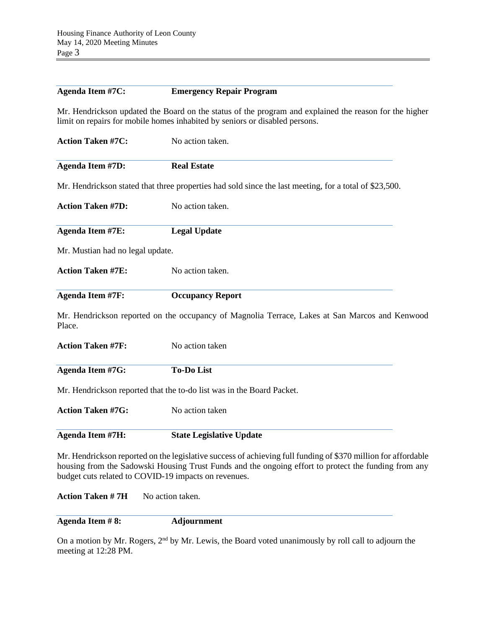## **Agenda Item #7C: Emergency Repair Program**

Mr. Hendrickson updated the Board on the status of the program and explained the reason for the higher limit on repairs for mobile homes inhabited by seniors or disabled persons.

| No action taken.                                                                                       |
|--------------------------------------------------------------------------------------------------------|
| <b>Real Estate</b>                                                                                     |
| Mr. Hendrickson stated that three properties had sold since the last meeting, for a total of \$23,500. |
| No action taken.                                                                                       |
| <b>Legal Update</b>                                                                                    |
| Mr. Mustian had no legal update.                                                                       |
| No action taken.                                                                                       |
| <b>Occupancy Report</b>                                                                                |
| Mr. Hendrickson reported on the occupancy of Magnolia Terrace, Lakes at San Marcos and Kenwood         |
| No action taken                                                                                        |
| <b>To-Do List</b>                                                                                      |
| Mr. Hendrickson reported that the to-do list was in the Board Packet.                                  |
| No action taken                                                                                        |
|                                                                                                        |
|                                                                                                        |

Mr. Hendrickson reported on the legislative success of achieving full funding of \$370 million for affordable housing from the Sadowski Housing Trust Funds and the ongoing effort to protect the funding from any budget cuts related to COVID-19 impacts on revenues.

**Action Taken # 7H** No action taken.

**Agenda Item # 8: Adjournment**

On a motion by Mr. Rogers, 2<sup>nd</sup> by Mr. Lewis, the Board voted unanimously by roll call to adjourn the meeting at 12:28 PM.